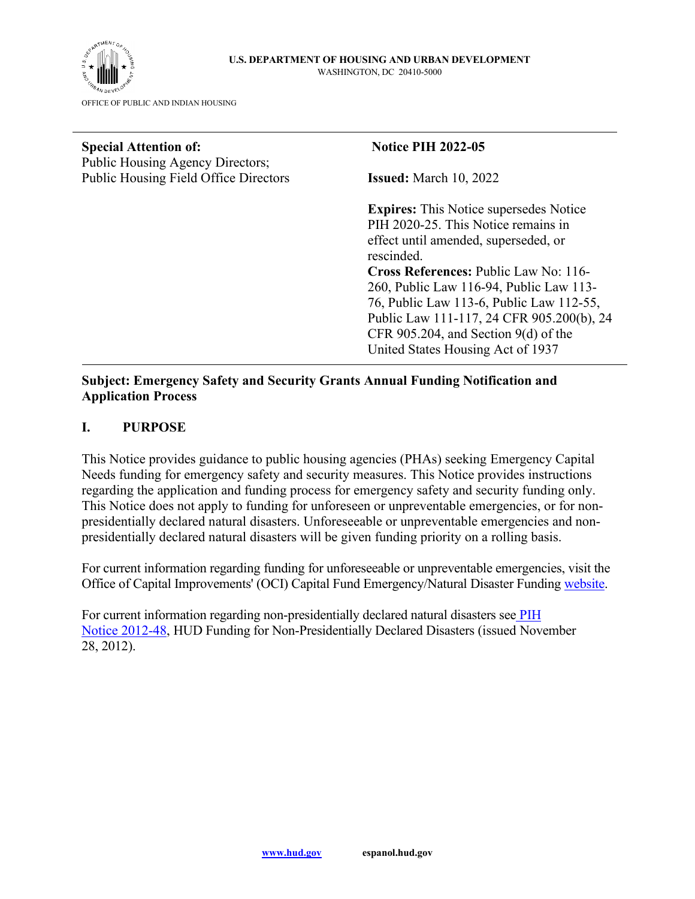

| <b>Special Attention of:</b>                                                     | <b>Notice PIH 2022-05</b>                     |
|----------------------------------------------------------------------------------|-----------------------------------------------|
| Public Housing Agency Directors;<br><b>Public Housing Field Office Directors</b> | <b>Issued:</b> March 10, 2022                 |
|                                                                                  | <b>Expires:</b> This Notice supersedes Notice |
|                                                                                  | PIH 2020-25. This Notice remains in           |
|                                                                                  | effect until amended, superseded, or          |
|                                                                                  | rescinded.                                    |
|                                                                                  | <b>Cross References: Public Law No: 116-</b>  |
|                                                                                  | 260, Public Law 116-94, Public Law 113-       |
|                                                                                  | 76, Public Law 113-6, Public Law 112-55,      |
|                                                                                  | Public Law 111-117, 24 CFR 905.200(b), 24     |
|                                                                                  | CFR 905.204, and Section $9(d)$ of the        |
|                                                                                  | United States Housing Act of 1937             |
| Subject: Emergency Safety and Security Crants Annual Eunding Notification and    |                                               |

#### **Subject: Emergency Safety and Security Grants Annual Funding Notification and Application Process**

### **I. PURPOSE**

This Notice provides guidance to public housing agencies (PHAs) seeking Emergency Capital Needs funding for emergency safety and security measures. This Notice provides instructions regarding the application and funding process for emergency safety and security funding only. This Notice does not apply to funding for unforeseen or unpreventable emergencies, or for nonpresidentially declared natural disasters. Unforeseeable or unpreventable emergencies and nonpresidentially declared natural disasters will be given funding priority on a rolling basis.

For current information regarding funding for unforeseeable or unpreventable emergencies, visit the Office of Capital Improvements' (OCI) Capital Fund Emergency/Natural Disaster Funding [website.](https://www.hud.gov/program_offices/public_indian_housing/programs/ph/capfund/emfunding)

For current information regarding non-presidentially declared natural disasters see PIH [Notice 2012-48,](http://portal.hud.gov/huddoc/12-48pihn.pdf) HUD Funding for Non-Presidentially Declared Disasters (issued November 28, 2012).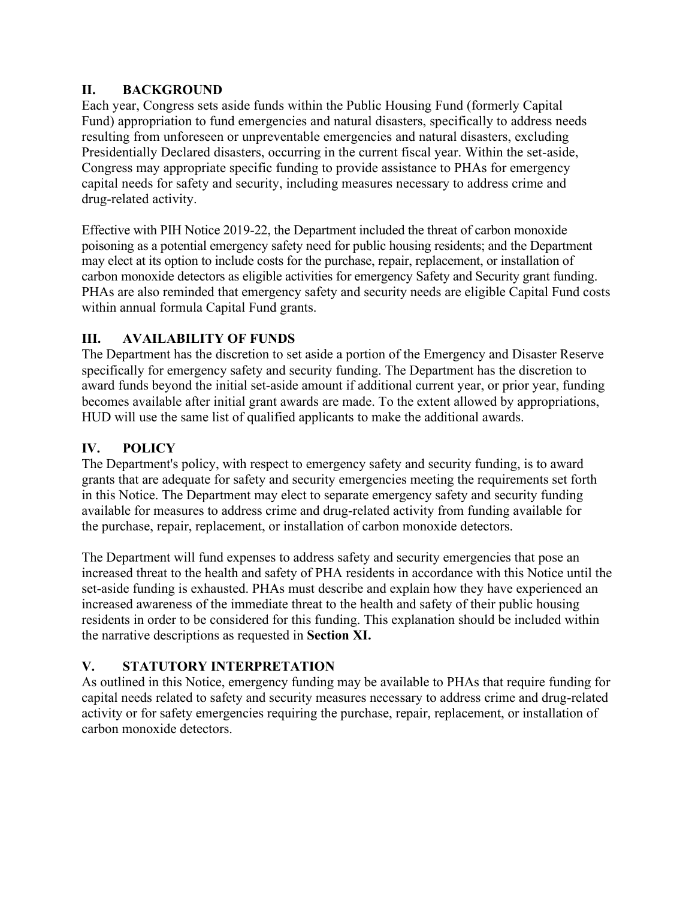### **II. BACKGROUND**

Each year, Congress sets aside funds within the Public Housing Fund (formerly Capital Fund) appropriation to fund emergencies and natural disasters, specifically to address needs resulting from unforeseen or unpreventable emergencies and natural disasters, excluding Presidentially Declared disasters, occurring in the current fiscal year. Within the set-aside, Congress may appropriate specific funding to provide assistance to PHAs for emergency capital needs for safety and security, including measures necessary to address crime and drug-related activity.

Effective with PIH Notice 2019-22, the Department included the threat of carbon monoxide poisoning as a potential emergency safety need for public housing residents; and the Department may elect at its option to include costs for the purchase, repair, replacement, or installation of carbon monoxide detectors as eligible activities for emergency Safety and Security grant funding. PHAs are also reminded that emergency safety and security needs are eligible Capital Fund costs within annual formula Capital Fund grants.

# **III. AVAILABILITY OF FUNDS**

The Department has the discretion to set aside a portion of the Emergency and Disaster Reserve specifically for emergency safety and security funding. The Department has the discretion to award funds beyond the initial set-aside amount if additional current year, or prior year, funding becomes available after initial grant awards are made. To the extent allowed by appropriations, HUD will use the same list of qualified applicants to make the additional awards.

# **IV. POLICY**

The Department's policy, with respect to emergency safety and security funding, is to award grants that are adequate for safety and security emergencies meeting the requirements set forth in this Notice. The Department may elect to separate emergency safety and security funding available for measures to address crime and drug-related activity from funding available for the purchase, repair, replacement, or installation of carbon monoxide detectors.

The Department will fund expenses to address safety and security emergencies that pose an increased threat to the health and safety of PHA residents in accordance with this Notice until the set-aside funding is exhausted. PHAs must describe and explain how they have experienced an increased awareness of the immediate threat to the health and safety of their public housing residents in order to be considered for this funding. This explanation should be included within the narrative descriptions as requested in **Section XI.** 

# **V. STATUTORY INTERPRETATION**

As outlined in this Notice, emergency funding may be available to PHAs that require funding for capital needs related to safety and security measures necessary to address crime and drug-related activity or for safety emergencies requiring the purchase, repair, replacement, or installation of carbon monoxide detectors.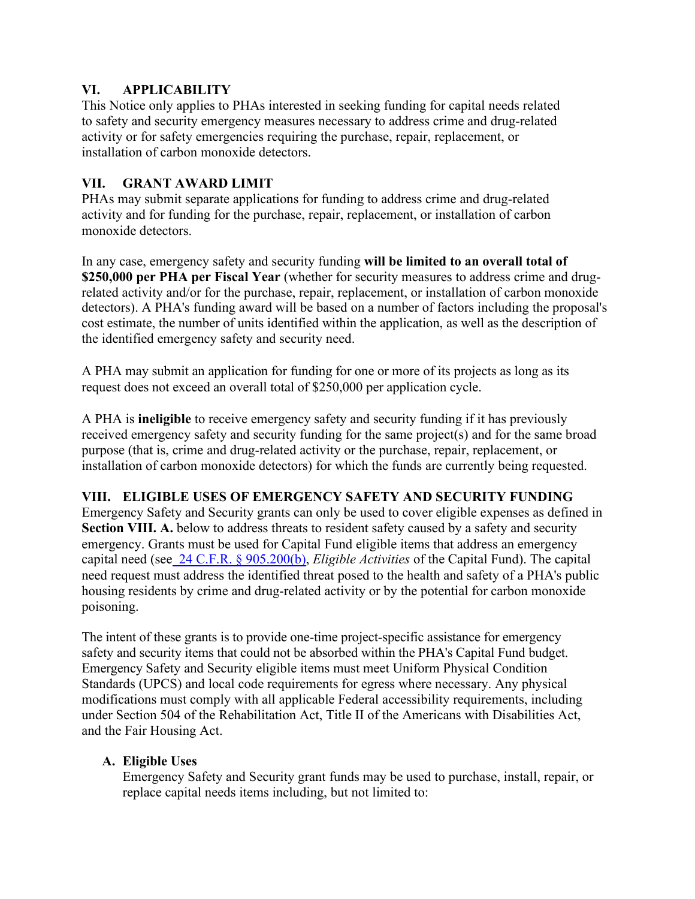#### **VI. APPLICABILITY**

This Notice only applies to PHAs interested in seeking funding for capital needs related to safety and security emergency measures necessary to address crime and drug-related activity or for safety emergencies requiring the purchase, repair, replacement, or installation of carbon monoxide detectors.

#### **VII. GRANT AWARD LIMIT**

PHAs may submit separate applications for funding to address crime and drug-related activity and for funding for the purchase, repair, replacement, or installation of carbon monoxide detectors.

In any case, emergency safety and security funding **will be limited to an overall total of \$250,000 per PHA per Fiscal Year** (whether for security measures to address crime and drugrelated activity and/or for the purchase, repair, replacement, or installation of carbon monoxide detectors). A PHA's funding award will be based on a number of factors including the proposal's cost estimate, the number of units identified within the application, as well as the description of the identified emergency safety and security need.

A PHA may submit an application for funding for one or more of its projects as long as its request does not exceed an overall total of \$250,000 per application cycle.

A PHA is **ineligible** to receive emergency safety and security funding if it has previously received emergency safety and security funding for the same project(s) and for the same broad purpose (that is, crime and drug-related activity or the purchase, repair, replacement, or installation of carbon monoxide detectors) for which the funds are currently being requested.

### **VIII. ELIGIBLE USES OF EMERGENCY SAFETY AND SECURITY FUNDING**

Emergency Safety and Security grants can only be used to cover eligible expenses as defined in **Section VIII. A.** below to address threats to resident safety caused by a safety and security emergency. Grants must be used for Capital Fund eligible items that address an emergency capital need (see [24 C.F.R. § 905.200\(b\),](https://www.ecfr.gov/current/title-24/subtitle-B/chapter-IX/part-905/subpart-B/section-905.200) *Eligible Activities* of the Capital Fund). The capital need request must address the identified threat posed to the health and safety of a PHA's public housing residents by crime and drug-related activity or by the potential for carbon monoxide poisoning.

The intent of these grants is to provide one-time project-specific assistance for emergency safety and security items that could not be absorbed within the PHA's Capital Fund budget. Emergency Safety and Security eligible items must meet Uniform Physical Condition Standards (UPCS) and local code requirements for egress where necessary. Any physical modifications must comply with all applicable Federal accessibility requirements, including under Section 504 of the Rehabilitation Act, Title II of the Americans with Disabilities Act, and the Fair Housing Act.

### **A. Eligible Uses**

Emergency Safety and Security grant funds may be used to purchase, install, repair, or replace capital needs items including, but not limited to: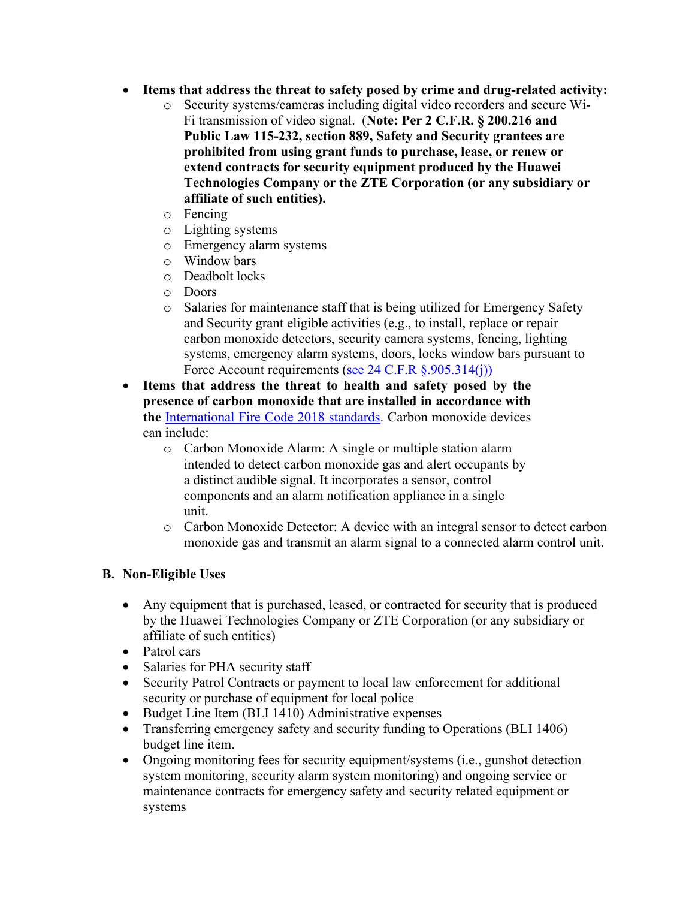- **Items that address the threat to safety posed by crime and drug-related activity:** 
	- o Security systems/cameras including digital video recorders and secure Wi-Fi transmission of video signal. (**Note: Per 2 C.F.R. § 200.216 and Public Law 115-232, section 889, Safety and Security grantees are prohibited from using grant funds to purchase, lease, or renew or extend contracts for security equipment produced by the Huawei Technologies Company or the ZTE Corporation (or any subsidiary or affiliate of such entities).**
	- o Fencing
	- o Lighting systems
	- o Emergency alarm systems
	- $\circ$  Window bars
	- o Deadbolt locks
	- o Doors
	- o Salaries for maintenance staff that is being utilized for Emergency Safety and Security grant eligible activities (e.g., to install, replace or repair carbon monoxide detectors, security camera systems, fencing, lighting systems, emergency alarm systems, doors, locks window bars pursuant to Force Account requirements [\(see 24 C.F.R §.905.314\(j\)\)](https://www.ecfr.gov/current/title-24/subtitle-B/chapter-IX/part-905)
- **Items that address the threat to health and safety posed by the presence of carbon monoxide that are installed in accordance with the** [International Fire Code 2018 standards.](https://codes.iccsafe.org/content/IFC2018) Carbon monoxide devices can include:
	- o Carbon Monoxide Alarm: A single or multiple station alarm intended to detect carbon monoxide gas and alert occupants by a distinct audible signal. It incorporates a sensor, control components and an alarm notification appliance in a single unit.
	- o Carbon Monoxide Detector: A device with an integral sensor to detect carbon monoxide gas and transmit an alarm signal to a connected alarm control unit.

### **B. Non-Eligible Uses**

- Any equipment that is purchased, leased, or contracted for security that is produced by the Huawei Technologies Company or ZTE Corporation (or any subsidiary or affiliate of such entities)
- Patrol cars
- Salaries for PHA security staff
- Security Patrol Contracts or payment to local law enforcement for additional security or purchase of equipment for local police
- Budget Line Item (BLI 1410) Administrative expenses
- Transferring emergency safety and security funding to Operations (BLI 1406) budget line item.
- Ongoing monitoring fees for security equipment/systems (i.e., gunshot detection system monitoring, security alarm system monitoring) and ongoing service or maintenance contracts for emergency safety and security related equipment or systems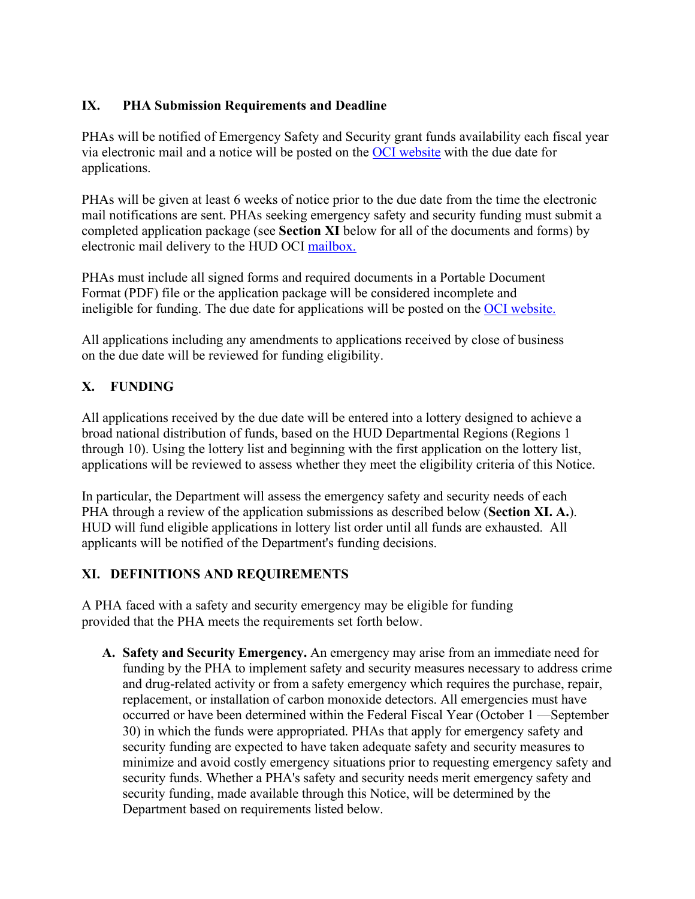### **IX. PHA Submission Requirements and Deadline**

PHAs will be notified of Emergency Safety and Security grant funds availability each fiscal year via electronic mail and a notice will be posted on the [OCI website](https://www.hud.gov/program_offices/public_indian_housing/programs/ph/capfund) with the due date for applications.

PHAs will be given at least 6 weeks of notice prior to the due date from the time the electronic mail notifications are sent. PHAs seeking emergency safety and security funding must submit a completed application package (see **Section XI** below for all of the documents and forms) by electronic mail delivery to the HUD OCI [mailbox.](mailto:PIHOCI@hud.gov)

PHAs must include all signed forms and required documents in a Portable Document Format (PDF) file or the application package will be considered incomplete and ineligible for funding. The due date for applications will be posted on the [OCI website.](https://www.hud.gov/program%20offices/public%20indian%20housing/programs/ph/capfund)

All applications including any amendments to applications received by close of business on the due date will be reviewed for funding eligibility.

## **X. FUNDING**

All applications received by the due date will be entered into a lottery designed to achieve a broad national distribution of funds, based on the HUD Departmental Regions (Regions 1 through 10). Using the lottery list and beginning with the first application on the lottery list, applications will be reviewed to assess whether they meet the eligibility criteria of this Notice.

In particular, the Department will assess the emergency safety and security needs of each PHA through a review of the application submissions as described below (**Section XI. A.**). HUD will fund eligible applications in lottery list order until all funds are exhausted. All applicants will be notified of the Department's funding decisions.

### **XI. DEFINITIONS AND REQUIREMENTS**

A PHA faced with a safety and security emergency may be eligible for funding provided that the PHA meets the requirements set forth below.

**A. Safety and Security Emergency.** An emergency may arise from an immediate need for funding by the PHA to implement safety and security measures necessary to address crime and drug-related activity or from a safety emergency which requires the purchase, repair, replacement, or installation of carbon monoxide detectors. All emergencies must have occurred or have been determined within the Federal Fiscal Year (October 1 —September 30) in which the funds were appropriated. PHAs that apply for emergency safety and security funding are expected to have taken adequate safety and security measures to minimize and avoid costly emergency situations prior to requesting emergency safety and security funds. Whether a PHA's safety and security needs merit emergency safety and security funding, made available through this Notice, will be determined by the Department based on requirements listed below.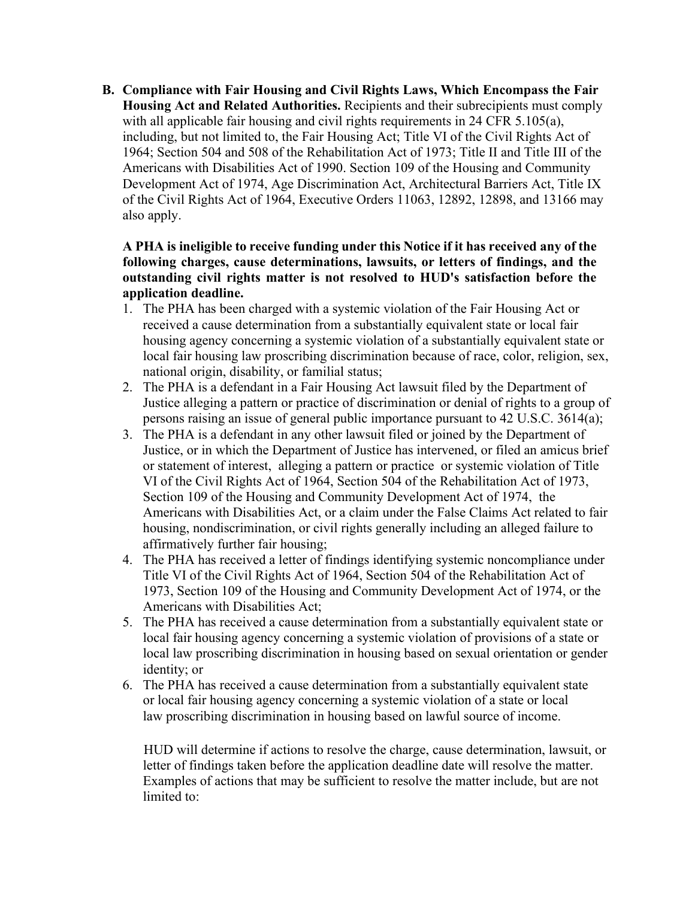**B. Compliance with Fair Housing and Civil Rights Laws, Which Encompass the Fair Housing Act and Related Authorities.** Recipients and their subrecipients must comply with all applicable fair housing and civil rights requirements in 24 CFR 5.105(a), including, but not limited to, the Fair Housing Act; Title VI of the Civil Rights Act of 1964; Section 504 and 508 of the Rehabilitation Act of 1973; Title II and Title III of the Americans with Disabilities Act of 1990. Section 109 of the Housing and Community Development Act of 1974, Age Discrimination Act, Architectural Barriers Act, Title IX of the Civil Rights Act of 1964, Executive Orders 11063, 12892, 12898, and 13166 may also apply.

#### **A PHA is ineligible to receive funding under this Notice if it has received any of the following charges, cause determinations, lawsuits, or letters of findings, and the outstanding civil rights matter is not resolved to HUD's satisfaction before the application deadline.**

- 1. The PHA has been charged with a systemic violation of the Fair Housing Act or received a cause determination from a substantially equivalent state or local fair housing agency concerning a systemic violation of a substantially equivalent state or local fair housing law proscribing discrimination because of race, color, religion, sex, national origin, disability, or familial status;
- 2. The PHA is a defendant in a Fair Housing Act lawsuit filed by the Department of Justice alleging a pattern or practice of discrimination or denial of rights to a group of persons raising an issue of general public importance pursuant to 42 U.S.C. 3614(a);
- 3. The PHA is a defendant in any other lawsuit filed or joined by the Department of Justice, or in which the Department of Justice has intervened, or filed an amicus brief or statement of interest, alleging a pattern or practice or systemic violation of Title VI of the Civil Rights Act of 1964, Section 504 of the Rehabilitation Act of 1973, Section 109 of the Housing and Community Development Act of 1974, the Americans with Disabilities Act, or a claim under the False Claims Act related to fair housing, nondiscrimination, or civil rights generally including an alleged failure to affirmatively further fair housing;
- 4. The PHA has received a letter of findings identifying systemic noncompliance under Title VI of the Civil Rights Act of 1964, Section 504 of the Rehabilitation Act of 1973, Section 109 of the Housing and Community Development Act of 1974, or the Americans with Disabilities Act;
- 5. The PHA has received a cause determination from a substantially equivalent state or local fair housing agency concerning a systemic violation of provisions of a state or local law proscribing discrimination in housing based on sexual orientation or gender identity; or
- 6. The PHA has received a cause determination from a substantially equivalent state or local fair housing agency concerning a systemic violation of a state or local law proscribing discrimination in housing based on lawful source of income.

HUD will determine if actions to resolve the charge, cause determination, lawsuit, or letter of findings taken before the application deadline date will resolve the matter. Examples of actions that may be sufficient to resolve the matter include, but are not limited to: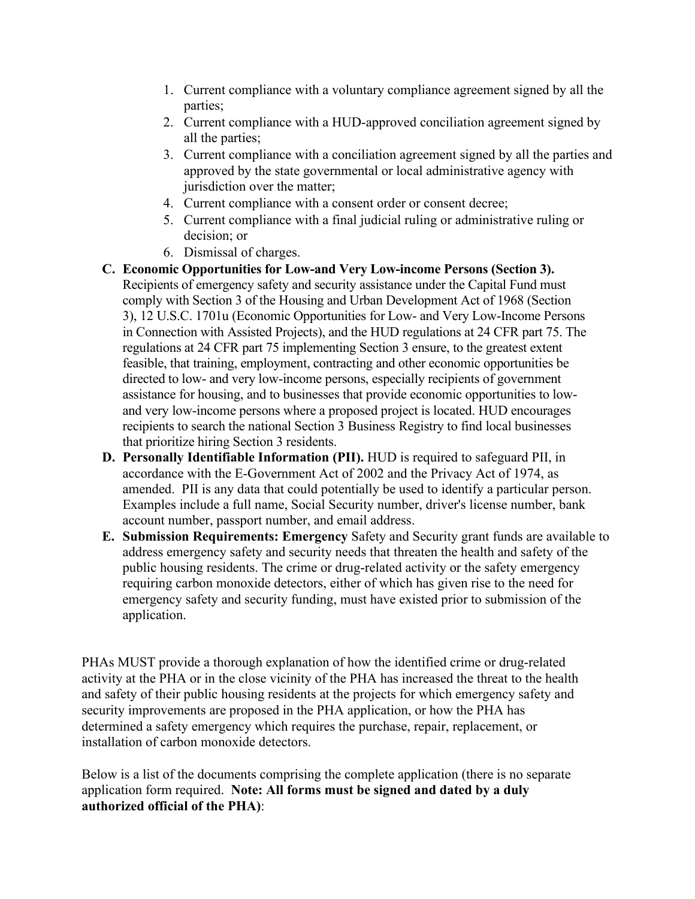- 1. Current compliance with a voluntary compliance agreement signed by all the parties;
- 2. Current compliance with a HUD-approved conciliation agreement signed by all the parties;
- 3. Current compliance with a conciliation agreement signed by all the parties and approved by the state governmental or local administrative agency with jurisdiction over the matter;
- 4. Current compliance with a consent order or consent decree;
- 5. Current compliance with a final judicial ruling or administrative ruling or decision; or
- 6. Dismissal of charges.
- **C. Economic Opportunities for Low-and Very Low-income Persons (Section 3).**  Recipients of emergency safety and security assistance under the Capital Fund must comply with Section 3 of the Housing and Urban Development Act of 1968 (Section 3), 12 U.S.C. 1701u (Economic Opportunities for Low- and Very Low-Income Persons in Connection with Assisted Projects), and the HUD regulations at 24 CFR part 75. The regulations at 24 CFR part 75 implementing Section 3 ensure, to the greatest extent feasible, that training, employment, contracting and other economic opportunities be directed to low- and very low-income persons, especially recipients of government assistance for housing, and to businesses that provide economic opportunities to lowand very low-income persons where a proposed project is located. HUD encourages recipients to search the national Section 3 Business Registry to find local businesses that prioritize hiring Section 3 residents.
- **D. Personally Identifiable Information (PII).** HUD is required to safeguard PII, in accordance with the E-Government Act of 2002 and the Privacy Act of 1974, as amended. PII is any data that could potentially be used to identify a particular person. Examples include a full name, Social Security number, driver's license number, bank account number, passport number, and email address.
- **E. Submission Requirements: Emergency** Safety and Security grant funds are available to address emergency safety and security needs that threaten the health and safety of the public housing residents. The crime or drug-related activity or the safety emergency requiring carbon monoxide detectors, either of which has given rise to the need for emergency safety and security funding, must have existed prior to submission of the application.

PHAs MUST provide a thorough explanation of how the identified crime or drug-related activity at the PHA or in the close vicinity of the PHA has increased the threat to the health and safety of their public housing residents at the projects for which emergency safety and security improvements are proposed in the PHA application, or how the PHA has determined a safety emergency which requires the purchase, repair, replacement, or installation of carbon monoxide detectors.

Below is a list of the documents comprising the complete application (there is no separate application form required. **Note: All forms must be signed and dated by a duly authorized official of the PHA)**: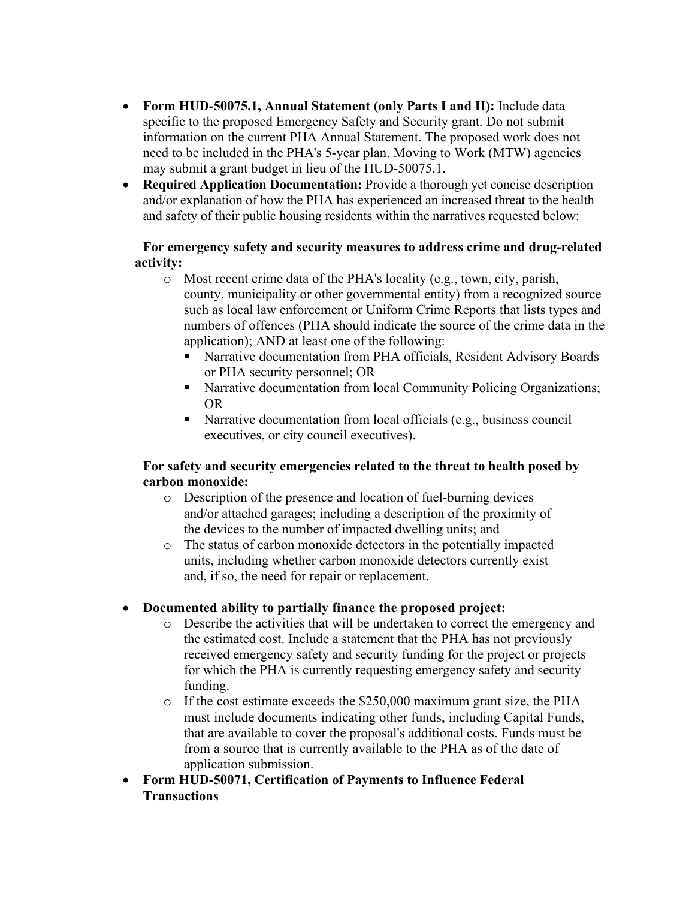- **Form HUD-50075.1, Annual Statement (only Parts I and II):** Include data specific to the proposed Emergency Safety and Security grant. Do not submit information on the current PHA Annual Statement. The proposed work does not need to be included in the PHA's 5-year plan. Moving to Work (MTW) agencies may submit a grant budget in lieu of the HUD-50075.1.
- **Required Application Documentation:** Provide a thorough yet concise description and/or explanation of how the PHA has experienced an increased threat to the health and safety of their public housing residents within the narratives requested below:

### **For emergency safety and security measures to address crime and drug-related activity:**

- o Most recent crime data of the PHA's locality (e.g., town, city, parish, county, municipality or other governmental entity) from a recognized source such as local law enforcement or Uniform Crime Reports that lists types and numbers of offences (PHA should indicate the source of the crime data in the application); AND at least one of the following:
	- Narrative documentation from PHA officials, Resident Advisory Boards or PHA security personnel; OR
	- Narrative documentation from local Community Policing Organizations; OR
	- Narrative documentation from local officials (e.g., business council executives, or city council executives).

#### **For safety and security emergencies related to the threat to health posed by carbon monoxide:**

- o Description of the presence and location of fuel-burning devices and/or attached garages; including a description of the proximity of the devices to the number of impacted dwelling units; and
- o The status of carbon monoxide detectors in the potentially impacted units, including whether carbon monoxide detectors currently exist and, if so, the need for repair or replacement.

## **Documented ability to partially finance the proposed project:**

- o Describe the activities that will be undertaken to correct the emergency and the estimated cost. Include a statement that the PHA has not previously received emergency safety and security funding for the project or projects for which the PHA is currently requesting emergency safety and security funding.
- o If the cost estimate exceeds the \$250,000 maximum grant size, the PHA must include documents indicating other funds, including Capital Funds, that are available to cover the proposal's additional costs. Funds must be from a source that is currently available to the PHA as of the date of application submission.
- **Form HUD-50071, Certification of Payments to Influence Federal Transactions**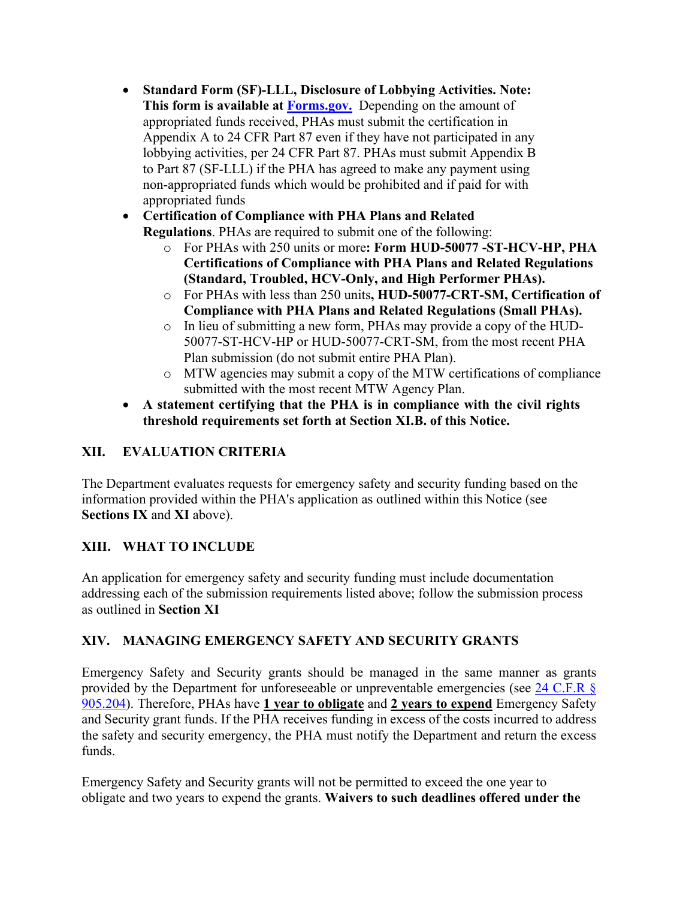**Standard Form (SF)-LLL, Disclosure of Lobbying Activities. Note: This form is available at [Forms.gov.](http://forms.gov/)** Depending on the amount of appropriated funds received, PHAs must submit the certification in Appendix A to 24 CFR Part 87 even if they have not participated in any lobbying activities, per 24 CFR Part 87. PHAs must submit Appendix B to Part 87 (SF-LLL) if the PHA has agreed to make any payment using non-appropriated funds which would be prohibited and if paid for with appropriated funds

 **Certification of Compliance with PHA Plans and Related Regulations**. PHAs are required to submit one of the following:

- o For PHAs with 250 units or more**: Form HUD-50077 -ST-HCV-HP, PHA Certifications of Compliance with PHA Plans and Related Regulations (Standard, Troubled, HCV-Only, and High Performer PHAs).**
- o For PHAs with less than 250 units**, HUD-50077-CRT-SM, Certification of Compliance with PHA Plans and Related Regulations (Small PHAs).**
- o In lieu of submitting a new form, PHAs may provide a copy of the HUD-50077-ST-HCV-HP or HUD-50077-CRT-SM, from the most recent PHA Plan submission (do not submit entire PHA Plan).
- o MTW agencies may submit a copy of the MTW certifications of compliance submitted with the most recent MTW Agency Plan.
- **A statement certifying that the PHA is in compliance with the civil rights threshold requirements set forth at Section XI.B. of this Notice.**

# **XII. EVALUATION CRITERIA**

The Department evaluates requests for emergency safety and security funding based on the information provided within the PHA's application as outlined within this Notice (see **Sections IX** and **XI** above).

## **XIII. WHAT TO INCLUDE**

An application for emergency safety and security funding must include documentation addressing each of the submission requirements listed above; follow the submission process as outlined in **Section XI** 

## **XIV. MANAGING EMERGENCY SAFETY AND SECURITY GRANTS**

Emergency Safety and Security grants should be managed in the same manner as grants provided by the Department for unforeseeable or unpreventable emergencies (see [24 C.F.R §](https://www.ecfr.gov/current/title-24/subtitle-B/chapter-IX/part-905/subpart-B)  [905.204\)](https://www.ecfr.gov/current/title-24/subtitle-B/chapter-IX/part-905/subpart-B). Therefore, PHAs have **1 year to obligate** and **2 years to expend** Emergency Safety and Security grant funds. If the PHA receives funding in excess of the costs incurred to address the safety and security emergency, the PHA must notify the Department and return the excess funds.

Emergency Safety and Security grants will not be permitted to exceed the one year to obligate and two years to expend the grants. **Waivers to such deadlines offered under the**